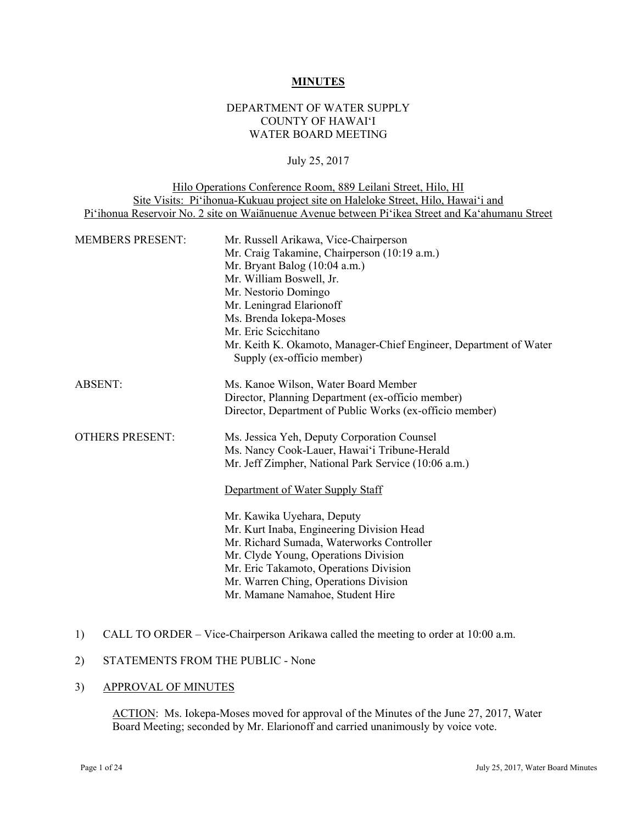#### **MINUTES**

### DEPARTMENT OF WATER SUPPLY COUNTY OF HAWAI'I WATER BOARD MEETING

### July 25, 2017

| Hilo Operations Conference Room, 889 Leilani Street, Hilo, HI                                    |
|--------------------------------------------------------------------------------------------------|
| Site Visits: Pi'ihonua-Kukuau project site on Haleloke Street, Hilo, Hawai'i and                 |
| Pi'ihonua Reservoir No. 2 site on Waiānuenue Avenue between Pi'ikea Street and Ka'ahumanu Street |
|                                                                                                  |

| <b>MEMBERS PRESENT:</b> | Mr. Russell Arikawa, Vice-Chairperson                                                           |  |  |
|-------------------------|-------------------------------------------------------------------------------------------------|--|--|
|                         | Mr. Craig Takamine, Chairperson (10:19 a.m.)                                                    |  |  |
|                         | Mr. Bryant Balog $(10:04$ a.m.)                                                                 |  |  |
|                         | Mr. William Boswell, Jr.                                                                        |  |  |
|                         | Mr. Nestorio Domingo                                                                            |  |  |
|                         | Mr. Leningrad Elarionoff                                                                        |  |  |
|                         | Ms. Brenda Iokepa-Moses                                                                         |  |  |
|                         | Mr. Eric Scicchitano                                                                            |  |  |
|                         | Mr. Keith K. Okamoto, Manager-Chief Engineer, Department of Water<br>Supply (ex-officio member) |  |  |
| <b>ABSENT:</b>          | Ms. Kanoe Wilson, Water Board Member                                                            |  |  |
|                         | Director, Planning Department (ex-officio member)                                               |  |  |
|                         | Director, Department of Public Works (ex-officio member)                                        |  |  |
| <b>OTHERS PRESENT:</b>  | Ms. Jessica Yeh, Deputy Corporation Counsel                                                     |  |  |
|                         | Ms. Nancy Cook-Lauer, Hawai'i Tribune-Herald                                                    |  |  |
|                         | Mr. Jeff Zimpher, National Park Service (10:06 a.m.)                                            |  |  |
|                         | Department of Water Supply Staff                                                                |  |  |
|                         | Mr. Kawika Uyehara, Deputy                                                                      |  |  |
|                         | Mr. Kurt Inaba, Engineering Division Head                                                       |  |  |
|                         | Mr. Richard Sumada, Waterworks Controller                                                       |  |  |
|                         | Mr. Clyde Young, Operations Division                                                            |  |  |
|                         | Mr. Eric Takamoto, Operations Division                                                          |  |  |
|                         | Mr. Warren Ching, Operations Division                                                           |  |  |
|                         | Mr. Mamane Namahoe, Student Hire                                                                |  |  |
|                         |                                                                                                 |  |  |

# 1) CALL TO ORDER – Vice-Chairperson Arikawa called the meeting to order at 10:00 a.m.

# 2) STATEMENTS FROM THE PUBLIC - None

#### 3) APPROVAL OF MINUTES

ACTION: Ms. Iokepa-Moses moved for approval of the Minutes of the June 27, 2017, Water Board Meeting; seconded by Mr. Elarionoff and carried unanimously by voice vote.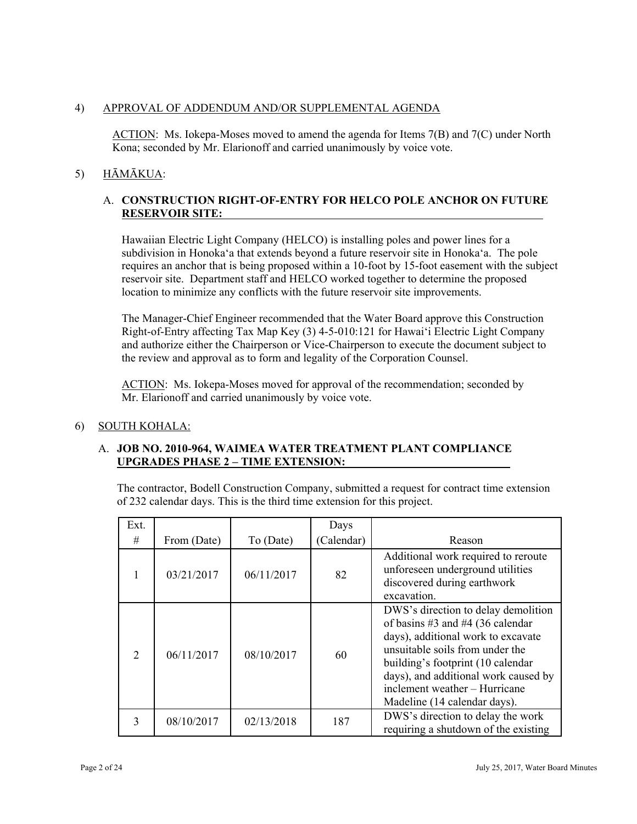# 4) APPROVAL OF ADDENDUM AND/OR SUPPLEMENTAL AGENDA

ACTION: Ms. Iokepa-Moses moved to amend the agenda for Items 7(B) and 7(C) under North Kona; seconded by Mr. Elarionoff and carried unanimously by voice vote.

# 5) HĀMĀKUA:

# A. **CONSTRUCTION RIGHT-OF-ENTRY FOR HELCO POLE ANCHOR ON FUTURE RESERVOIR SITE:**

Hawaiian Electric Light Company (HELCO) is installing poles and power lines for a subdivision in Honoka'a that extends beyond a future reservoir site in Honoka'a. The pole requires an anchor that is being proposed within a 10-foot by 15-foot easement with the subject reservoir site. Department staff and HELCO worked together to determine the proposed location to minimize any conflicts with the future reservoir site improvements.

The Manager-Chief Engineer recommended that the Water Board approve this Construction Right-of-Entry affecting Tax Map Key (3) 4-5-010:121 for Hawai'i Electric Light Company and authorize either the Chairperson or Vice-Chairperson to execute the document subject to the review and approval as to form and legality of the Corporation Counsel.

ACTION: Ms. Iokepa-Moses moved for approval of the recommendation; seconded by Mr. Elarionoff and carried unanimously by voice vote.

### 6) SOUTH KOHALA:

### A. **JOB NO. 2010-964, WAIMEA WATER TREATMENT PLANT COMPLIANCE UPGRADES PHASE 2 – TIME EXTENSION:**

The contractor, Bodell Construction Company, submitted a request for contract time extension of 232 calendar days. This is the third time extension for this project.

| Ext.                        |             |            | Days       |                                                                                                                                                                                                                                                                                                |
|-----------------------------|-------------|------------|------------|------------------------------------------------------------------------------------------------------------------------------------------------------------------------------------------------------------------------------------------------------------------------------------------------|
| #                           | From (Date) | To (Date)  | (Calendar) | Reason                                                                                                                                                                                                                                                                                         |
|                             | 03/21/2017  | 06/11/2017 | 82         | Additional work required to reroute<br>unforeseen underground utilities<br>discovered during earthwork<br>excavation.                                                                                                                                                                          |
| $\mathcal{D}_{\mathcal{L}}$ | 06/11/2017  | 08/10/2017 | 60         | DWS's direction to delay demolition<br>of basins #3 and #4 (36 calendar<br>days), additional work to excavate<br>unsuitable soils from under the<br>building's footprint (10 calendar<br>days), and additional work caused by<br>inclement weather - Hurricane<br>Madeline (14 calendar days). |
|                             | 08/10/2017  | 02/13/2018 | 187        | DWS's direction to delay the work<br>requiring a shutdown of the existing                                                                                                                                                                                                                      |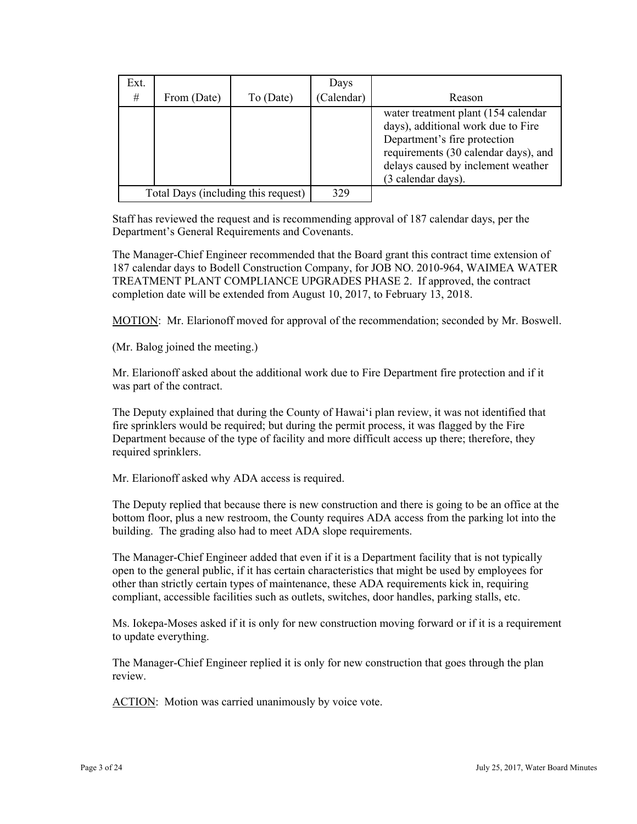| Ext. |             |                                     | Days       |                                                                                                                                                                                                               |
|------|-------------|-------------------------------------|------------|---------------------------------------------------------------------------------------------------------------------------------------------------------------------------------------------------------------|
| #    | From (Date) | To (Date)                           | (Calendar) | Reason                                                                                                                                                                                                        |
|      |             |                                     |            | water treatment plant (154 calendar<br>days), additional work due to Fire<br>Department's fire protection<br>requirements (30 calendar days), and<br>delays caused by inclement weather<br>(3 calendar days). |
|      |             | Total Days (including this request) | 329        |                                                                                                                                                                                                               |

Staff has reviewed the request and is recommending approval of 187 calendar days, per the Department's General Requirements and Covenants.

The Manager-Chief Engineer recommended that the Board grant this contract time extension of 187 calendar days to Bodell Construction Company, for JOB NO. 2010-964, WAIMEA WATER TREATMENT PLANT COMPLIANCE UPGRADES PHASE 2. If approved, the contract completion date will be extended from August 10, 2017, to February 13, 2018.

MOTION: Mr. Elarionoff moved for approval of the recommendation; seconded by Mr. Boswell.

(Mr. Balog joined the meeting.)

Mr. Elarionoff asked about the additional work due to Fire Department fire protection and if it was part of the contract.

The Deputy explained that during the County of Hawai'i plan review, it was not identified that fire sprinklers would be required; but during the permit process, it was flagged by the Fire Department because of the type of facility and more difficult access up there; therefore, they required sprinklers.

Mr. Elarionoff asked why ADA access is required.

The Deputy replied that because there is new construction and there is going to be an office at the bottom floor, plus a new restroom, the County requires ADA access from the parking lot into the building. The grading also had to meet ADA slope requirements.

The Manager-Chief Engineer added that even if it is a Department facility that is not typically open to the general public, if it has certain characteristics that might be used by employees for other than strictly certain types of maintenance, these ADA requirements kick in, requiring compliant, accessible facilities such as outlets, switches, door handles, parking stalls, etc.

Ms. Iokepa-Moses asked if it is only for new construction moving forward or if it is a requirement to update everything.

The Manager-Chief Engineer replied it is only for new construction that goes through the plan review.

ACTION: Motion was carried unanimously by voice vote.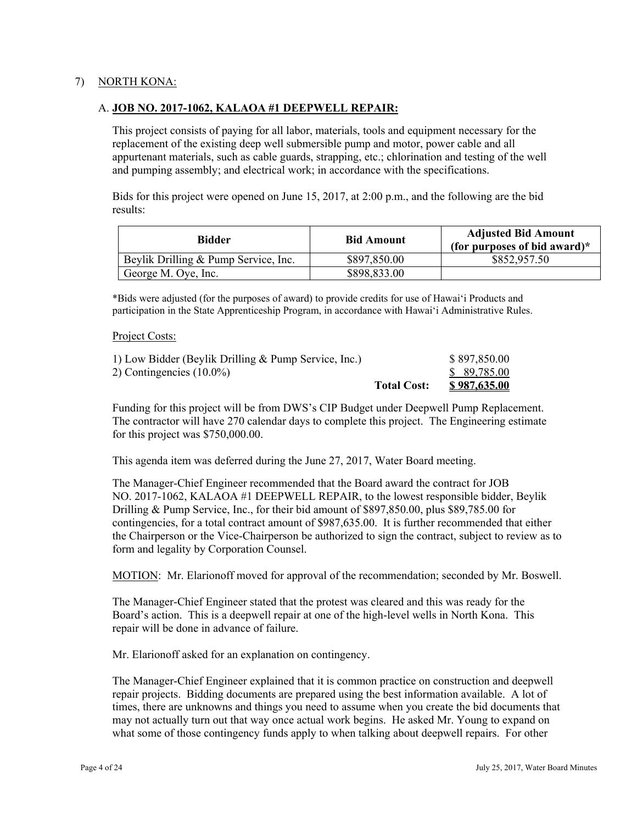### 7) NORTH KONA:

### A. **JOB NO. 2017-1062, KALAOA #1 DEEPWELL REPAIR:**

This project consists of paying for all labor, materials, tools and equipment necessary for the replacement of the existing deep well submersible pump and motor, power cable and all appurtenant materials, such as cable guards, strapping, etc.; chlorination and testing of the well and pumping assembly; and electrical work; in accordance with the specifications.

Bids for this project were opened on June 15, 2017, at 2:00 p.m., and the following are the bid results:

| <b>Bidder</b>                        | <b>Bid Amount</b> | <b>Adjusted Bid Amount</b><br>(for purposes of bid award) $*$ |
|--------------------------------------|-------------------|---------------------------------------------------------------|
| Beylik Drilling & Pump Service, Inc. | \$897,850.00      | \$852,957.50                                                  |
| George M. Oye, Inc.                  | \$898,833.00      |                                                               |

\*Bids were adjusted (for the purposes of award) to provide credits for use of Hawai'i Products and participation in the State Apprenticeship Program, in accordance with Hawai'i Administrative Rules.

#### Project Costs:

| 1) Low Bidder (Beylik Drilling & Pump Service, Inc.) |                    | \$897,850.00 |
|------------------------------------------------------|--------------------|--------------|
| 2) Contingencies $(10.0\%)$                          |                    | \$ 89,785.00 |
|                                                      | <b>Total Cost:</b> | \$987,635.00 |

Funding for this project will be from DWS's CIP Budget under Deepwell Pump Replacement. The contractor will have 270 calendar days to complete this project. The Engineering estimate for this project was \$750,000.00.

This agenda item was deferred during the June 27, 2017, Water Board meeting.

The Manager-Chief Engineer recommended that the Board award the contract for JOB NO. 2017-1062, KALAOA #1 DEEPWELL REPAIR, to the lowest responsible bidder, Beylik Drilling & Pump Service, Inc., for their bid amount of \$897,850.00, plus \$89,785.00 for contingencies, for a total contract amount of \$987,635.00. It is further recommended that either the Chairperson or the Vice-Chairperson be authorized to sign the contract, subject to review as to form and legality by Corporation Counsel.

MOTION: Mr. Elarionoff moved for approval of the recommendation; seconded by Mr. Boswell.

The Manager-Chief Engineer stated that the protest was cleared and this was ready for the Board's action. This is a deepwell repair at one of the high-level wells in North Kona. This repair will be done in advance of failure.

Mr. Elarionoff asked for an explanation on contingency.

The Manager-Chief Engineer explained that it is common practice on construction and deepwell repair projects. Bidding documents are prepared using the best information available. A lot of times, there are unknowns and things you need to assume when you create the bid documents that may not actually turn out that way once actual work begins. He asked Mr. Young to expand on what some of those contingency funds apply to when talking about deepwell repairs. For other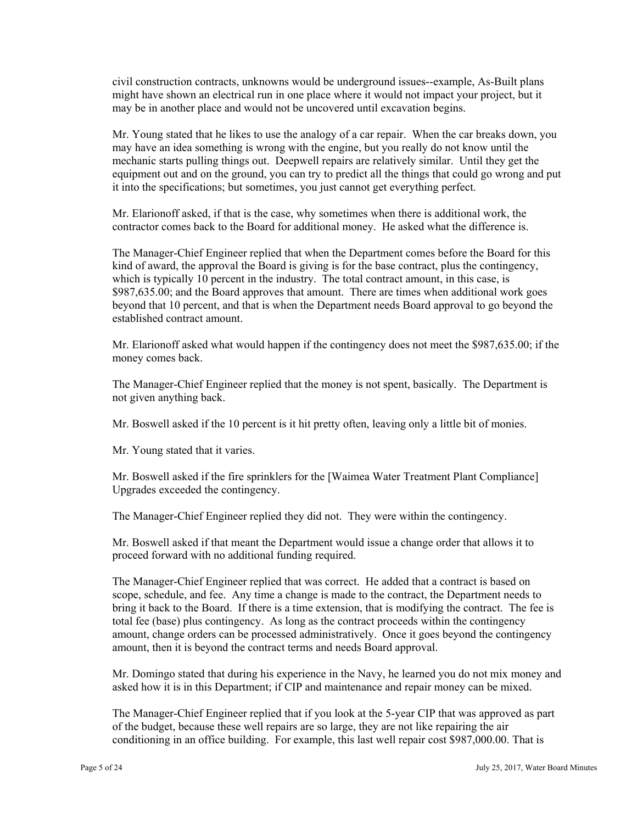civil construction contracts, unknowns would be underground issues--example, As-Built plans might have shown an electrical run in one place where it would not impact your project, but it may be in another place and would not be uncovered until excavation begins.

Mr. Young stated that he likes to use the analogy of a car repair. When the car breaks down, you may have an idea something is wrong with the engine, but you really do not know until the mechanic starts pulling things out. Deepwell repairs are relatively similar. Until they get the equipment out and on the ground, you can try to predict all the things that could go wrong and put it into the specifications; but sometimes, you just cannot get everything perfect.

Mr. Elarionoff asked, if that is the case, why sometimes when there is additional work, the contractor comes back to the Board for additional money. He asked what the difference is.

The Manager-Chief Engineer replied that when the Department comes before the Board for this kind of award, the approval the Board is giving is for the base contract, plus the contingency, which is typically 10 percent in the industry. The total contract amount, in this case, is \$987,635.00; and the Board approves that amount. There are times when additional work goes beyond that 10 percent, and that is when the Department needs Board approval to go beyond the established contract amount.

Mr. Elarionoff asked what would happen if the contingency does not meet the \$987,635.00; if the money comes back.

The Manager-Chief Engineer replied that the money is not spent, basically. The Department is not given anything back.

Mr. Boswell asked if the 10 percent is it hit pretty often, leaving only a little bit of monies.

Mr. Young stated that it varies.

Mr. Boswell asked if the fire sprinklers for the [Waimea Water Treatment Plant Compliance] Upgrades exceeded the contingency.

The Manager-Chief Engineer replied they did not. They were within the contingency.

Mr. Boswell asked if that meant the Department would issue a change order that allows it to proceed forward with no additional funding required.

The Manager-Chief Engineer replied that was correct. He added that a contract is based on scope, schedule, and fee. Any time a change is made to the contract, the Department needs to bring it back to the Board. If there is a time extension, that is modifying the contract. The fee is total fee (base) plus contingency. As long as the contract proceeds within the contingency amount, change orders can be processed administratively. Once it goes beyond the contingency amount, then it is beyond the contract terms and needs Board approval.

Mr. Domingo stated that during his experience in the Navy, he learned you do not mix money and asked how it is in this Department; if CIP and maintenance and repair money can be mixed.

The Manager-Chief Engineer replied that if you look at the 5-year CIP that was approved as part of the budget, because these well repairs are so large, they are not like repairing the air conditioning in an office building. For example, this last well repair cost \$987,000.00. That is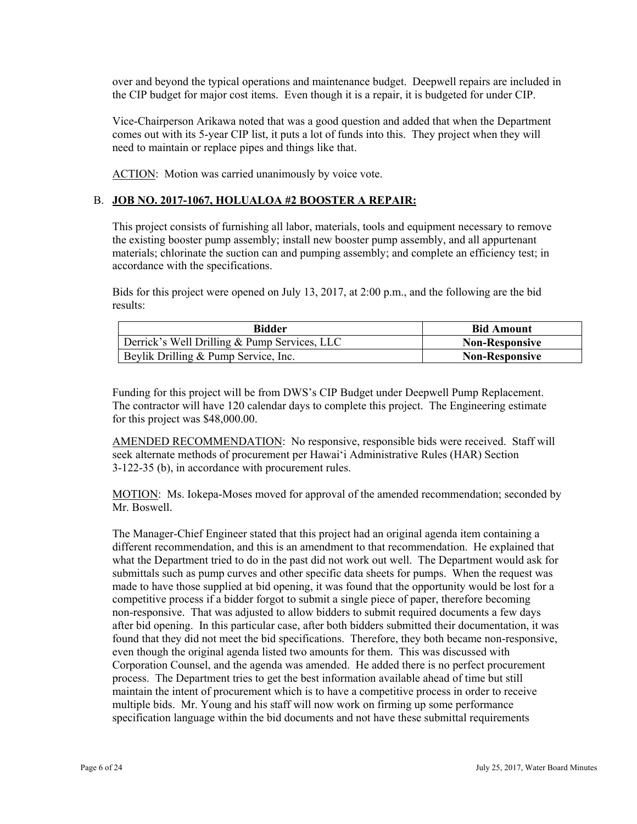over and beyond the typical operations and maintenance budget. Deepwell repairs are included in the CIP budget for major cost items. Even though it is a repair, it is budgeted for under CIP.

Vice-Chairperson Arikawa noted that was a good question and added that when the Department comes out with its 5-year CIP list, it puts a lot of funds into this. They project when they will need to maintain or replace pipes and things like that.

ACTION: Motion was carried unanimously by voice vote.

# B. **JOB NO. 2017-1067, HOLUALOA #2 BOOSTER A REPAIR:**

This project consists of furnishing all labor, materials, tools and equipment necessary to remove the existing booster pump assembly; install new booster pump assembly, and all appurtenant materials; chlorinate the suction can and pumping assembly; and complete an efficiency test; in accordance with the specifications.

Bids for this project were opened on July 13, 2017, at 2:00 p.m., and the following are the bid results:

| <b>Bidder</b>                                | <b>Bid Amount</b>     |
|----------------------------------------------|-----------------------|
| Derrick's Well Drilling & Pump Services, LLC | <b>Non-Responsive</b> |
| Beylik Drilling & Pump Service, Inc.         | <b>Non-Responsive</b> |

Funding for this project will be from DWS's CIP Budget under Deepwell Pump Replacement. The contractor will have 120 calendar days to complete this project. The Engineering estimate for this project was \$48,000.00.

AMENDED RECOMMENDATION: No responsive, responsible bids were received. Staff will seek alternate methods of procurement per Hawai'i Administrative Rules (HAR) Section 3-122-35 (b), in accordance with procurement rules.

MOTION: Ms. Iokepa-Moses moved for approval of the amended recommendation; seconded by Mr. Boswell.

The Manager-Chief Engineer stated that this project had an original agenda item containing a different recommendation, and this is an amendment to that recommendation. He explained that what the Department tried to do in the past did not work out well. The Department would ask for submittals such as pump curves and other specific data sheets for pumps. When the request was made to have those supplied at bid opening, it was found that the opportunity would be lost for a competitive process if a bidder forgot to submit a single piece of paper, therefore becoming non-responsive. That was adjusted to allow bidders to submit required documents a few days after bid opening. In this particular case, after both bidders submitted their documentation, it was found that they did not meet the bid specifications. Therefore, they both became non-responsive, even though the original agenda listed two amounts for them. This was discussed with Corporation Counsel, and the agenda was amended. He added there is no perfect procurement process. The Department tries to get the best information available ahead of time but still maintain the intent of procurement which is to have a competitive process in order to receive multiple bids. Mr. Young and his staff will now work on firming up some performance specification language within the bid documents and not have these submittal requirements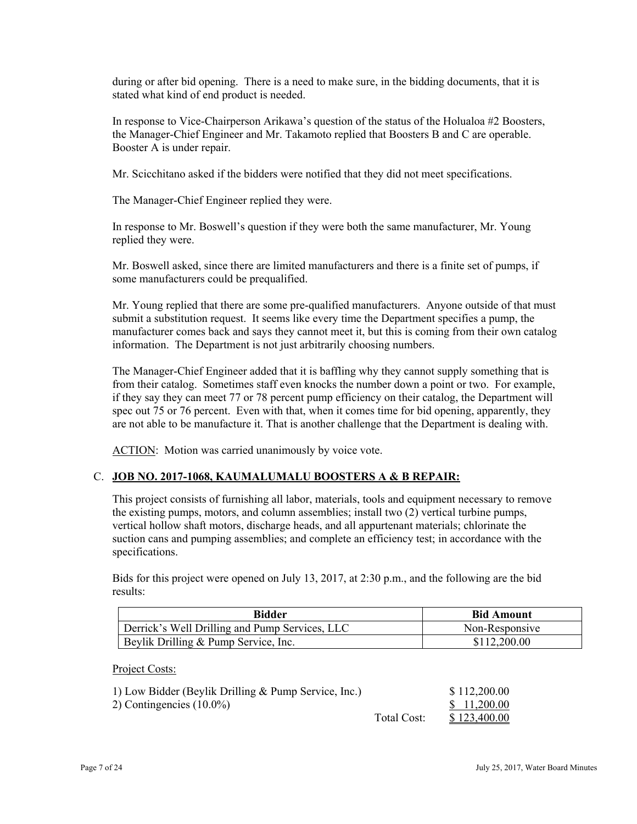during or after bid opening. There is a need to make sure, in the bidding documents, that it is stated what kind of end product is needed.

In response to Vice-Chairperson Arikawa's question of the status of the Holualoa #2 Boosters, the Manager-Chief Engineer and Mr. Takamoto replied that Boosters B and C are operable. Booster A is under repair.

Mr. Scicchitano asked if the bidders were notified that they did not meet specifications.

The Manager-Chief Engineer replied they were.

 replied they were. In response to Mr. Boswell's question if they were both the same manufacturer, Mr. Young

Mr. Boswell asked, since there are limited manufacturers and there is a finite set of pumps, if some manufacturers could be prequalified.

Mr. Young replied that there are some pre-qualified manufacturers. Anyone outside of that must submit a substitution request. It seems like every time the Department specifies a pump, the manufacturer comes back and says they cannot meet it, but this is coming from their own catalog information. The Department is not just arbitrarily choosing numbers.

The Manager-Chief Engineer added that it is baffling why they cannot supply something that is from their catalog. Sometimes staff even knocks the number down a point or two. For example, if they say they can meet 77 or 78 percent pump efficiency on their catalog, the Department will spec out 75 or 76 percent. Even with that, when it comes time for bid opening, apparently, they are not able to be manufacture it. That is another challenge that the Department is dealing with.

ACTION: Motion was carried unanimously by voice vote.

### C. **JOB NO. 2017-1068, KAUMALUMALU BOOSTERS A & B REPAIR:**

This project consists of furnishing all labor, materials, tools and equipment necessary to remove the existing pumps, motors, and column assemblies; install two (2) vertical turbine pumps, vertical hollow shaft motors, discharge heads, and all appurtenant materials; chlorinate the suction cans and pumping assemblies; and complete an efficiency test; in accordance with the specifications.

Bids for this project were opened on July 13, 2017, at 2:30 p.m., and the following are the bid results:

| <b>Bidder</b>                                  | <b>Bid Amount</b> |
|------------------------------------------------|-------------------|
| Derrick's Well Drilling and Pump Services, LLC | Non-Responsive    |
| Beylik Drilling & Pump Service, Inc.           | \$112,200.00      |

Project Costs:

| 1) Low Bidder (Beylik Drilling & Pump Service, Inc.) |             | \$112,200.00 |
|------------------------------------------------------|-------------|--------------|
| 2) Contingencies $(10.0\%)$                          |             | \$ 11.200.00 |
|                                                      | Total Cost: | \$123,400.00 |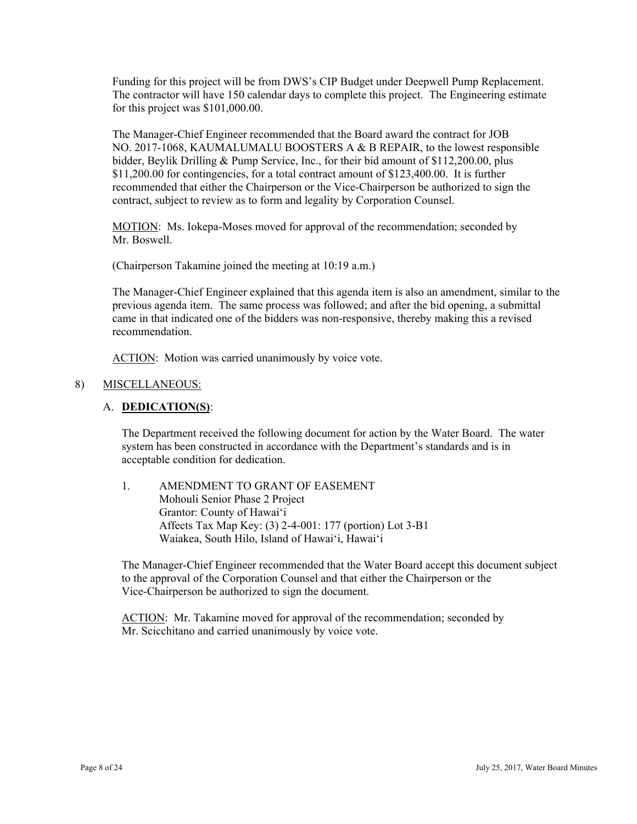Funding for this project will be from DWS's CIP Budget under Deepwell Pump Replacement. The contractor will have 150 calendar days to complete this project. The Engineering estimate for this project was \$101,000.00.

\$11,200.00 for contingencies, for a total contract amount of \$123,400.00. It is further The Manager-Chief Engineer recommended that the Board award the contract for JOB NO. 2017-1068, KAUMALUMALU BOOSTERS A & B REPAIR, to the lowest responsible bidder, Beylik Drilling & Pump Service, Inc., for their bid amount of \$112,200.00, plus recommended that either the Chairperson or the Vice-Chairperson be authorized to sign the contract, subject to review as to form and legality by Corporation Counsel.

MOTION: Ms. Iokepa-Moses moved for approval of the recommendation; seconded by Mr. Boswell.

(Chairperson Takamine joined the meeting at 10:19 a.m.)

The Manager-Chief Engineer explained that this agenda item is also an amendment, similar to the previous agenda item. The same process was followed; and after the bid opening, a submittal came in that indicated one of the bidders was non-responsive, thereby making this a revised recommendation.

ACTION: Motion was carried unanimously by voice vote.

#### 8) MISCELLANEOUS:

#### A. **DEDICATION(S)**:

The Department received the following document for action by the Water Board. The water system has been constructed in accordance with the Department's standards and is in acceptable condition for dedication.

1. AMENDMENT TO GRANT OF EASEMENT Mohouli Senior Phase 2 Project Grantor: County of Hawai'i Affects Tax Map Key: (3) 2-4-001: 177 (portion) Lot 3-B1 Waiakea, South Hilo, Island of Hawai'i, Hawai'i

The Manager-Chief Engineer recommended that the Water Board accept this document subject to the approval of the Corporation Counsel and that either the Chairperson or the Vice-Chairperson be authorized to sign the document.

ACTION: Mr. Takamine moved for approval of the recommendation; seconded by Mr. Scicchitano and carried unanimously by voice vote.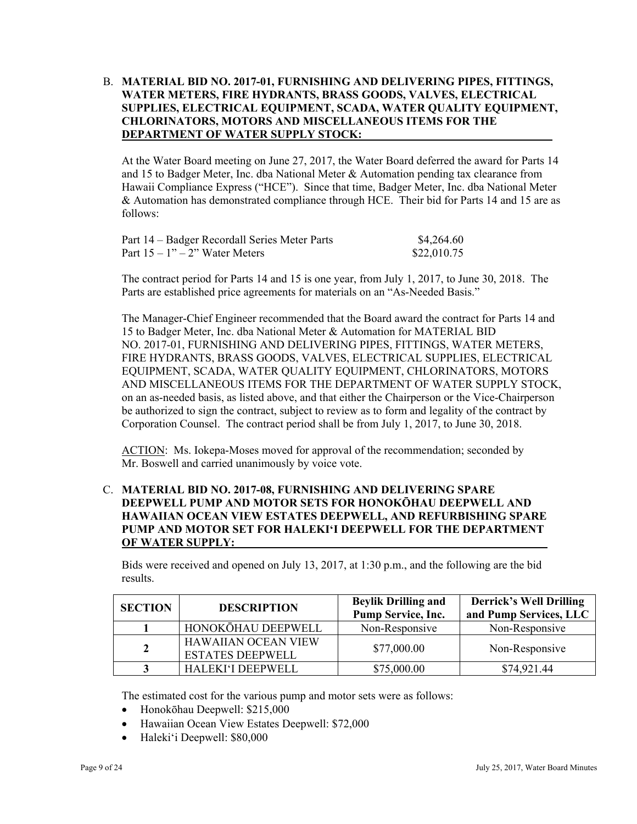### B. **MATERIAL BID NO. 2017-01, FURNISHING AND DELIVERING PIPES, FITTINGS, WATER METERS, FIRE HYDRANTS, BRASS GOODS, VALVES, ELECTRICAL SUPPLIES, ELECTRICAL EQUIPMENT, SCADA, WATER QUALITY EQUIPMENT, CHLORINATORS, MOTORS AND MISCELLANEOUS ITEMS FOR THE DEPARTMENT OF WATER SUPPLY STOCK:**

At the Water Board meeting on June 27, 2017, the Water Board deferred the award for Parts 14 and 15 to Badger Meter, Inc. dba National Meter & Automation pending tax clearance from Hawaii Compliance Express ("HCE"). Since that time, Badger Meter, Inc. dba National Meter & Automation has demonstrated compliance through HCE. Their bid for Parts 14 and 15 are as follows:

| Part 14 – Badger Recordall Series Meter Parts | \$4,264.60  |
|-----------------------------------------------|-------------|
| Part $15 - 1" - 2"$ Water Meters              | \$22,010.75 |

The contract period for Parts 14 and 15 is one year, from July 1, 2017, to June 30, 2018. The Parts are established price agreements for materials on an "As-Needed Basis."

The Manager-Chief Engineer recommended that the Board award the contract for Parts 14 and 15 to Badger Meter, Inc. dba National Meter & Automation for MATERIAL BID NO. 2017-01, FURNISHING AND DELIVERING PIPES, FITTINGS, WATER METERS, FIRE HYDRANTS, BRASS GOODS, VALVES, ELECTRICAL SUPPLIES, ELECTRICAL EQUIPMENT, SCADA, WATER QUALITY EQUIPMENT, CHLORINATORS, MOTORS AND MISCELLANEOUS ITEMS FOR THE DEPARTMENT OF WATER SUPPLY STOCK, on an as-needed basis, as listed above, and that either the Chairperson or the Vice-Chairperson be authorized to sign the contract, subject to review as to form and legality of the contract by Corporation Counsel. The contract period shall be from July 1, 2017, to June 30, 2018.

ACTION: Ms. Iokepa-Moses moved for approval of the recommendation; seconded by Mr. Boswell and carried unanimously by voice vote.

# C. **MATERIAL BID NO. 2017-08, FURNISHING AND DELIVERING SPARE DEEPWELL PUMP AND MOTOR SETS FOR HONOKŌHAU DEEPWELL AND HAWAIIAN OCEAN VIEW ESTATES DEEPWELL, AND REFURBISHING SPARE PUMP AND MOTOR SET FOR HALEKI'I DEEPWELL FOR THE DEPARTMENT OF WATER SUPPLY:**

Bids were received and opened on July 13, 2017, at 1:30 p.m., and the following are the bid results.

| <b>SECTION</b> | <b>DESCRIPTION</b>                                    | <b>Beylik Drilling and</b><br>Pump Service, Inc. | <b>Derrick's Well Drilling</b><br>and Pump Services, LLC |
|----------------|-------------------------------------------------------|--------------------------------------------------|----------------------------------------------------------|
|                | HONOKŌHAU DEEPWELL                                    | Non-Responsive                                   | Non-Responsive                                           |
| $\mathbf{2}$   | <b>HAWAIIAN OCEAN VIEW</b><br><b>ESTATES DEEPWELL</b> | \$77,000.00                                      | Non-Responsive                                           |
|                | HALEKI'I DEEPWELL                                     | \$75,000.00                                      | \$74,921.44                                              |

The estimated cost for the various pump and motor sets were as follows:

- Honokōhau Deepwell: \$215,000
- Hawaiian Ocean View Estates Deepwell: \$72,000
- Haleki'i Deepwell: \$80,000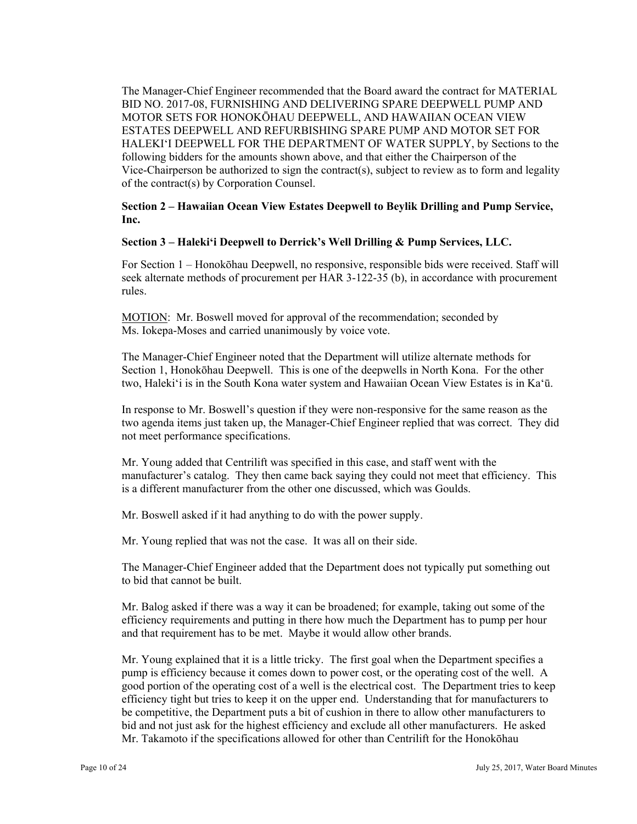The Manager-Chief Engineer recommended that the Board award the contract for MATERIAL BID NO. 2017-08, FURNISHING AND DELIVERING SPARE DEEPWELL PUMP AND MOTOR SETS FOR HONOKŌHAU DEEPWELL, AND HAWAIIAN OCEAN VIEW ESTATES DEEPWELL AND REFURBISHING SPARE PUMP AND MOTOR SET FOR HALEKI'I DEEPWELL FOR THE DEPARTMENT OF WATER SUPPLY, by Sections to the following bidders for the amounts shown above, and that either the Chairperson of the Vice-Chairperson be authorized to sign the contract(s), subject to review as to form and legality of the contract(s) by Corporation Counsel.

**Section 2 – Hawaiian Ocean View Estates Deepwell to Beylik Drilling and Pump Service, Inc.** 

#### **Section 3 – Haleki'i Deepwell to Derrick's Well Drilling & Pump Services, LLC.**

For Section 1 – Honokōhau Deepwell, no responsive, responsible bids were received. Staff will seek alternate methods of procurement per HAR 3-122-35 (b), in accordance with procurement rules.

MOTION: Mr. Boswell moved for approval of the recommendation; seconded by Ms. Iokepa-Moses and carried unanimously by voice vote.

The Manager-Chief Engineer noted that the Department will utilize alternate methods for Section 1, Honokōhau Deepwell. This is one of the deepwells in North Kona. For the other two, Haleki'i is in the South Kona water system and Hawaiian Ocean View Estates is in Ka'ū.

In response to Mr. Boswell's question if they were non-responsive for the same reason as the two agenda items just taken up, the Manager-Chief Engineer replied that was correct. They did not meet performance specifications.

Mr. Young added that Centrilift was specified in this case, and staff went with the manufacturer's catalog. They then came back saying they could not meet that efficiency. This is a different manufacturer from the other one discussed, which was Goulds.

Mr. Boswell asked if it had anything to do with the power supply.

Mr. Young replied that was not the case. It was all on their side.

The Manager-Chief Engineer added that the Department does not typically put something out to bid that cannot be built.

Mr. Balog asked if there was a way it can be broadened; for example, taking out some of the efficiency requirements and putting in there how much the Department has to pump per hour and that requirement has to be met. Maybe it would allow other brands.

 efficiency tight but tries to keep it on the upper end. Understanding that for manufacturers to Mr. Young explained that it is a little tricky. The first goal when the Department specifies a pump is efficiency because it comes down to power cost, or the operating cost of the well. A good portion of the operating cost of a well is the electrical cost. The Department tries to keep be competitive, the Department puts a bit of cushion in there to allow other manufacturers to bid and not just ask for the highest efficiency and exclude all other manufacturers. He asked Mr. Takamoto if the specifications allowed for other than Centrilift for the Honokōhau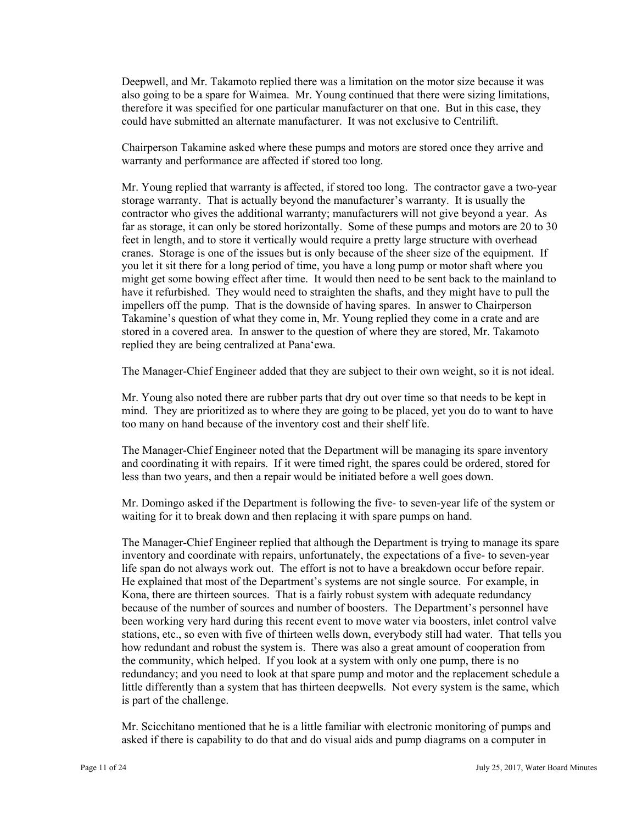Deepwell, and Mr. Takamoto replied there was a limitation on the motor size because it was also going to be a spare for Waimea. Mr. Young continued that there were sizing limitations, therefore it was specified for one particular manufacturer on that one. But in this case, they could have submitted an alternate manufacturer. It was not exclusive to Centrilift.

Chairperson Takamine asked where these pumps and motors are stored once they arrive and warranty and performance are affected if stored too long.

Mr. Young replied that warranty is affected, if stored too long. The contractor gave a two-year storage warranty. That is actually beyond the manufacturer's warranty. It is usually the contractor who gives the additional warranty; manufacturers will not give beyond a year. As far as storage, it can only be stored horizontally. Some of these pumps and motors are 20 to 30 feet in length, and to store it vertically would require a pretty large structure with overhead cranes. Storage is one of the issues but is only because of the sheer size of the equipment. If you let it sit there for a long period of time, you have a long pump or motor shaft where you might get some bowing effect after time. It would then need to be sent back to the mainland to have it refurbished. They would need to straighten the shafts, and they might have to pull the impellers off the pump. That is the downside of having spares. In answer to Chairperson Takamine's question of what they come in, Mr. Young replied they come in a crate and are stored in a covered area. In answer to the question of where they are stored, Mr. Takamoto replied they are being centralized at Pana'ewa.

The Manager-Chief Engineer added that they are subject to their own weight, so it is not ideal.

Mr. Young also noted there are rubber parts that dry out over time so that needs to be kept in mind. They are prioritized as to where they are going to be placed, yet you do to want to have too many on hand because of the inventory cost and their shelf life.

The Manager-Chief Engineer noted that the Department will be managing its spare inventory and coordinating it with repairs. If it were timed right, the spares could be ordered, stored for less than two years, and then a repair would be initiated before a well goes down.

Mr. Domingo asked if the Department is following the five- to seven-year life of the system or waiting for it to break down and then replacing it with spare pumps on hand.

 the community, which helped. If you look at a system with only one pump, there is no The Manager-Chief Engineer replied that although the Department is trying to manage its spare inventory and coordinate with repairs, unfortunately, the expectations of a five- to seven-year life span do not always work out. The effort is not to have a breakdown occur before repair. He explained that most of the Department's systems are not single source. For example, in Kona, there are thirteen sources. That is a fairly robust system with adequate redundancy because of the number of sources and number of boosters. The Department's personnel have been working very hard during this recent event to move water via boosters, inlet control valve stations, etc., so even with five of thirteen wells down, everybody still had water. That tells you how redundant and robust the system is. There was also a great amount of cooperation from redundancy; and you need to look at that spare pump and motor and the replacement schedule a little differently than a system that has thirteen deepwells. Not every system is the same, which is part of the challenge.

Mr. Scicchitano mentioned that he is a little familiar with electronic monitoring of pumps and asked if there is capability to do that and do visual aids and pump diagrams on a computer in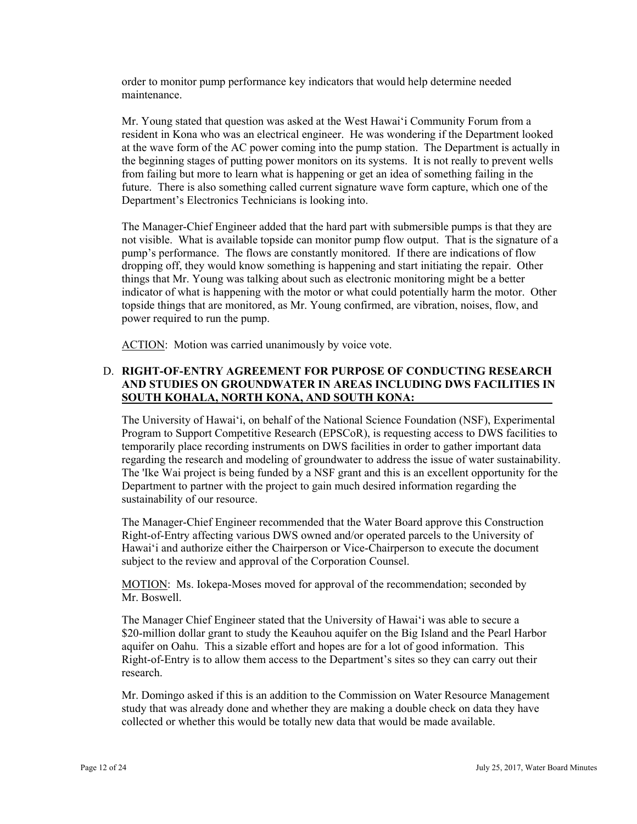order to monitor pump performance key indicators that would help determine needed maintenance.

Mr. Young stated that question was asked at the West Hawai'i Community Forum from a resident in Kona who was an electrical engineer. He was wondering if the Department looked at the wave form of the AC power coming into the pump station. The Department is actually in the beginning stages of putting power monitors on its systems. It is not really to prevent wells from failing but more to learn what is happening or get an idea of something failing in the future. There is also something called current signature wave form capture, which one of the Department's Electronics Technicians is looking into.

The Manager-Chief Engineer added that the hard part with submersible pumps is that they are not visible. What is available topside can monitor pump flow output. That is the signature of a pump's performance. The flows are constantly monitored. If there are indications of flow dropping off, they would know something is happening and start initiating the repair. Other things that Mr. Young was talking about such as electronic monitoring might be a better indicator of what is happening with the motor or what could potentially harm the motor. Other topside things that are monitored, as Mr. Young confirmed, are vibration, noises, flow, and power required to run the pump.

ACTION: Motion was carried unanimously by voice vote.

# D. **RIGHT-OF-ENTRY AGREEMENT FOR PURPOSE OF CONDUCTING RESEARCH AND STUDIES ON GROUNDWATER IN AREAS INCLUDING DWS FACILITIES IN SOUTH KOHALA, NORTH KONA, AND SOUTH KONA:**

The University of Hawai'i, on behalf of the National Science Foundation (NSF), Experimental Program to Support Competitive Research (EPSCoR), is requesting access to DWS facilities to temporarily place recording instruments on DWS facilities in order to gather important data regarding the research and modeling of groundwater to address the issue of water sustainability. The 'Ike Wai project is being funded by a NSF grant and this is an excellent opportunity for the Department to partner with the project to gain much desired information regarding the sustainability of our resource.

The Manager-Chief Engineer recommended that the Water Board approve this Construction Right-of-Entry affecting various DWS owned and/or operated parcels to the University of Hawai'i and authorize either the Chairperson or Vice-Chairperson to execute the document subject to the review and approval of the Corporation Counsel.

MOTION: Ms. Iokepa-Moses moved for approval of the recommendation; seconded by Mr. Boswell.

The Manager Chief Engineer stated that the University of Hawai'i was able to secure a \$20-million dollar grant to study the Keauhou aquifer on the Big Island and the Pearl Harbor aquifer on Oahu. This a sizable effort and hopes are for a lot of good information. This Right-of-Entry is to allow them access to the Department's sites so they can carry out their research.

Mr. Domingo asked if this is an addition to the Commission on Water Resource Management study that was already done and whether they are making a double check on data they have collected or whether this would be totally new data that would be made available.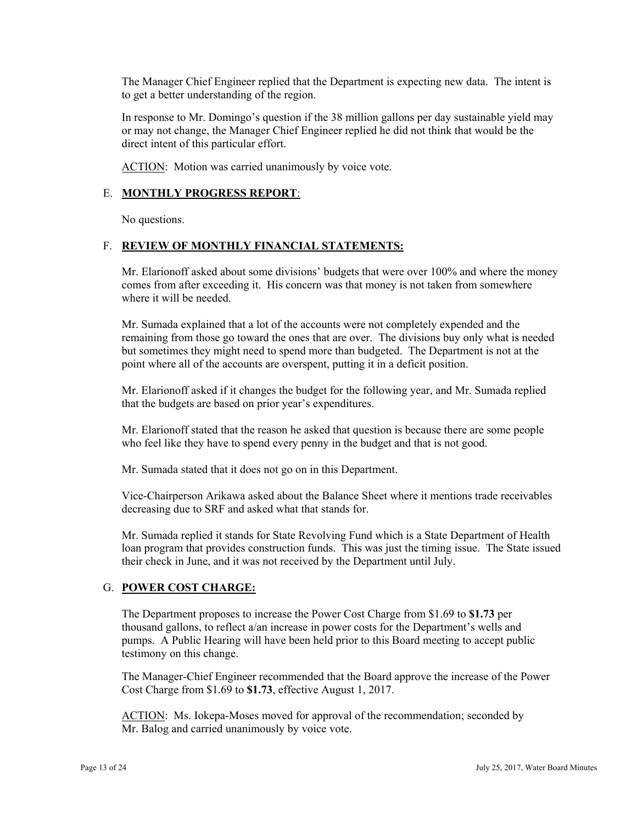The Manager Chief Engineer replied that the Department is expecting new data. The intent is to get a better understanding of the region.

In response to Mr. Domingo's question if the 38 million gallons per day sustainable yield may or may not change, the Manager Chief Engineer replied he did not think that would be the direct intent of this particular effort.

ACTION: Motion was carried unanimously by voice vote.

### E. **MONTHLY PROGRESS REPORT**:

No questions.

### F. **REVIEW OF MONTHLY FINANCIAL STATEMENTS:**

Mr. Elarionoff asked about some divisions' budgets that were over 100% and where the money comes from after exceeding it. His concern was that money is not taken from somewhere where it will be needed.

point where all of the accounts are overspent, putting it in a deficit position. Mr. Sumada explained that a lot of the accounts were not completely expended and the remaining from those go toward the ones that are over. The divisions buy only what is needed but sometimes they might need to spend more than budgeted. The Department is not at the

Mr. Elarionoff asked if it changes the budget for the following year, and Mr. Sumada replied that the budgets are based on prior year's expenditures.

Mr. Elarionoff stated that the reason he asked that question is because there are some people who feel like they have to spend every penny in the budget and that is not good.

Mr. Sumada stated that it does not go on in this Department.

Vice-Chairperson Arikawa asked about the Balance Sheet where it mentions trade receivables decreasing due to SRF and asked what that stands for.

Mr. Sumada replied it stands for State Revolving Fund which is a State Department of Health loan program that provides construction funds. This was just the timing issue. The State issued their check in June, and it was not received by the Department until July.

#### G. **POWER COST CHARGE:**

The Department proposes to increase the Power Cost Charge from \$1.69 to **\$1.73** per thousand gallons, to reflect a/an increase in power costs for the Department's wells and pumps. A Public Hearing will have been held prior to this Board meeting to accept public testimony on this change.

The Manager-Chief Engineer recommended that the Board approve the increase of the Power Cost Charge from \$1.69 to **\$1.73**, effective August 1, 2017.

 Mr. Balog and carried unanimously by voice vote. ACTION: Ms. Iokepa-Moses moved for approval of the recommendation; seconded by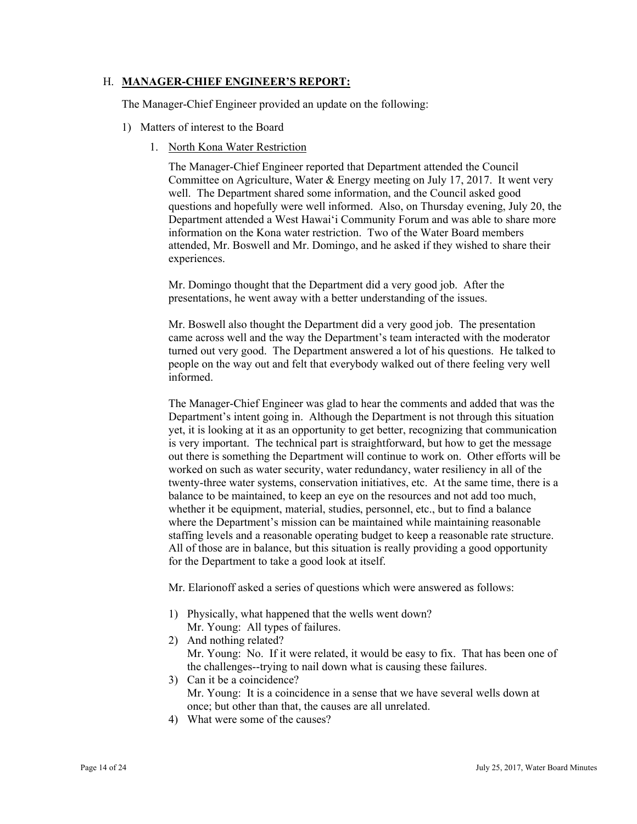### H. **MANAGER-CHIEF ENGINEER'S REPORT:**

The Manager-Chief Engineer provided an update on the following:

- 1) Matters of interest to the Board
	- 1. North Kona Water Restriction

The Manager-Chief Engineer reported that Department attended the Council Committee on Agriculture, Water & Energy meeting on July 17, 2017. It went very well. The Department shared some information, and the Council asked good questions and hopefully were well informed. Also, on Thursday evening, July 20, the Department attended a West Hawai'i Community Forum and was able to share more information on the Kona water restriction. Two of the Water Board members attended, Mr. Boswell and Mr. Domingo, and he asked if they wished to share their experiences.

Mr. Domingo thought that the Department did a very good job. After the presentations, he went away with a better understanding of the issues.

Mr. Boswell also thought the Department did a very good job. The presentation came across well and the way the Department's team interacted with the moderator turned out very good. The Department answered a lot of his questions. He talked to people on the way out and felt that everybody walked out of there feeling very well informed.

The Manager-Chief Engineer was glad to hear the comments and added that was the Department's intent going in. Although the Department is not through this situation yet, it is looking at it as an opportunity to get better, recognizing that communication is very important. The technical part is straightforward, but how to get the message out there is something the Department will continue to work on. Other efforts will be worked on such as water security, water redundancy, water resiliency in all of the twenty-three water systems, conservation initiatives, etc. At the same time, there is a balance to be maintained, to keep an eye on the resources and not add too much, whether it be equipment, material, studies, personnel, etc., but to find a balance where the Department's mission can be maintained while maintaining reasonable staffing levels and a reasonable operating budget to keep a reasonable rate structure. All of those are in balance, but this situation is really providing a good opportunity for the Department to take a good look at itself.

Mr. Elarionoff asked a series of questions which were answered as follows:

- 1) Physically, what happened that the wells went down?
	- Mr. Young: All types of failures.
- 2) And nothing related? Mr. Young: No. If it were related, it would be easy to fix. That has been one of the challenges--trying to nail down what is causing these failures.
- 3) Can it be a coincidence? Mr. Young: It is a coincidence in a sense that we have several wells down at once; but other than that, the causes are all unrelated.
- 4) What were some of the causes?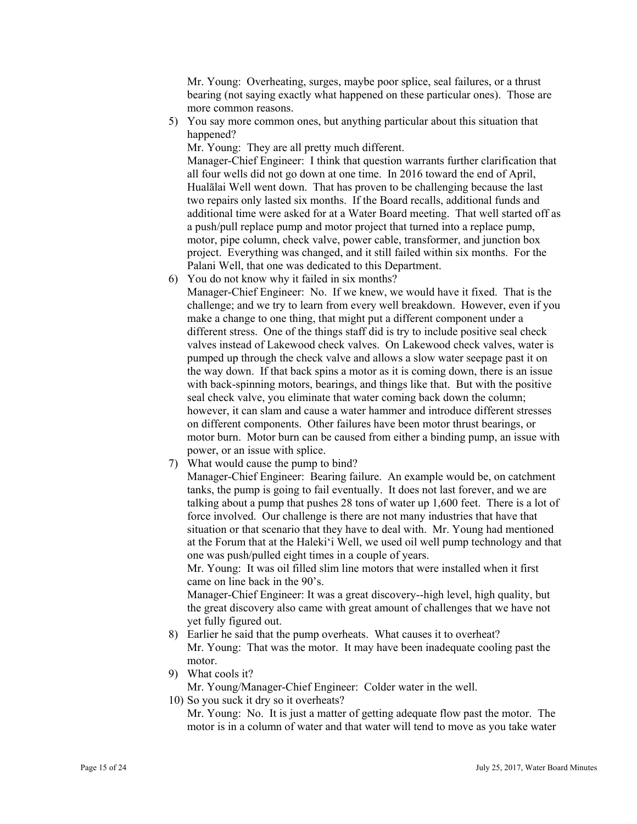Mr. Young: Overheating, surges, maybe poor splice, seal failures, or a thrust bearing (not saying exactly what happened on these particular ones). Those are more common reasons.

5) You say more common ones, but anything particular about this situation that happened?

Mr. Young: They are all pretty much different.

Manager-Chief Engineer: I think that question warrants further clarification that all four wells did not go down at one time. In 2016 toward the end of April, Hualālai Well went down. That has proven to be challenging because the last two repairs only lasted six months. If the Board recalls, additional funds and additional time were asked for at a Water Board meeting. That well started off as a push/pull replace pump and motor project that turned into a replace pump, motor, pipe column, check valve, power cable, transformer, and junction box project. Everything was changed, and it still failed within six months. For the Palani Well, that one was dedicated to this Department.

6) You do not know why it failed in six months?

Manager-Chief Engineer: No. If we knew, we would have it fixed. That is the challenge; and we try to learn from every well breakdown. However, even if you make a change to one thing, that might put a different component under a different stress. One of the things staff did is try to include positive seal check valves instead of Lakewood check valves. On Lakewood check valves, water is pumped up through the check valve and allows a slow water seepage past it on the way down. If that back spins a motor as it is coming down, there is an issue with back-spinning motors, bearings, and things like that. But with the positive seal check valve, you eliminate that water coming back down the column; however, it can slam and cause a water hammer and introduce different stresses on different components. Other failures have been motor thrust bearings, or motor burn. Motor burn can be caused from either a binding pump, an issue with power, or an issue with splice.

7) What would cause the pump to bind?

Manager-Chief Engineer: Bearing failure. An example would be, on catchment tanks, the pump is going to fail eventually. It does not last forever, and we are talking about a pump that pushes 28 tons of water up 1,600 feet. There is a lot of force involved. Our challenge is there are not many industries that have that situation or that scenario that they have to deal with. Mr. Young had mentioned at the Forum that at the Haleki'i Well, we used oil well pump technology and that one was push/pulled eight times in a couple of years.

Mr. Young: It was oil filled slim line motors that were installed when it first came on line back in the 90's.

Manager-Chief Engineer: It was a great discovery--high level, high quality, but the great discovery also came with great amount of challenges that we have not yet fully figured out.

- 8) Earlier he said that the pump overheats. What causes it to overheat? Mr. Young: That was the motor. It may have been inadequate cooling past the motor.
- 9) What cools it?

Mr. Young/Manager-Chief Engineer: Colder water in the well.

10) So you suck it dry so it overheats?

Mr. Young: No. It is just a matter of getting adequate flow past the motor. The motor is in a column of water and that water will tend to move as you take water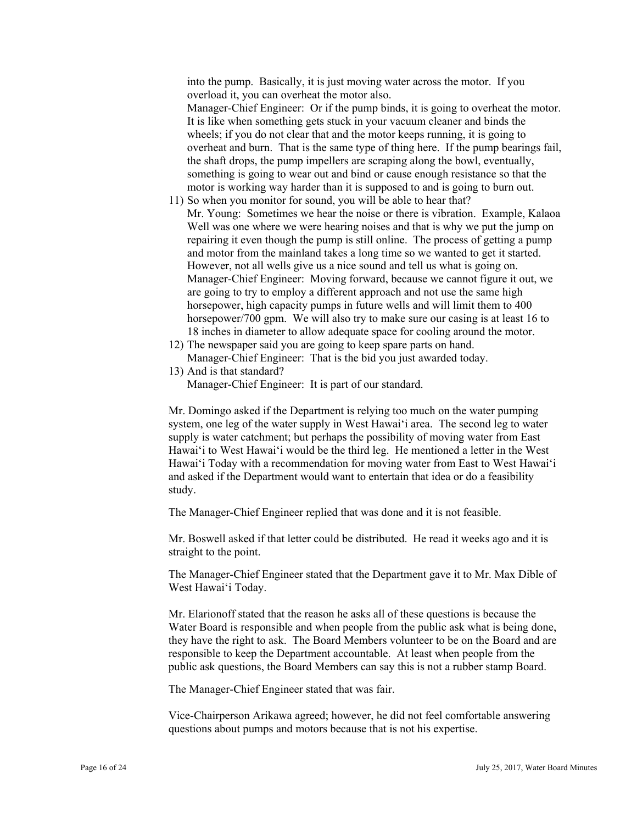into the pump. Basically, it is just moving water across the motor. If you overload it, you can overheat the motor also.

Manager-Chief Engineer: Or if the pump binds, it is going to overheat the motor. It is like when something gets stuck in your vacuum cleaner and binds the wheels; if you do not clear that and the motor keeps running, it is going to overheat and burn. That is the same type of thing here. If the pump bearings fail, the shaft drops, the pump impellers are scraping along the bowl, eventually, something is going to wear out and bind or cause enough resistance so that the motor is working way harder than it is supposed to and is going to burn out.

- However, not all wells give us a nice sound and tell us what is going on. are going to try to employ a different approach and not use the same high 11) So when you monitor for sound, you will be able to hear that? Mr. Young: Sometimes we hear the noise or there is vibration. Example, Kalaoa Well was one where we were hearing noises and that is why we put the jump on repairing it even though the pump is still online. The process of getting a pump and motor from the mainland takes a long time so we wanted to get it started. Manager-Chief Engineer: Moving forward, because we cannot figure it out, we horsepower, high capacity pumps in future wells and will limit them to 400 horsepower/700 gpm. We will also try to make sure our casing is at least 16 to 18 inches in diameter to allow adequate space for cooling around the motor.
- 12) The newspaper said you are going to keep spare parts on hand. Manager-Chief Engineer: That is the bid you just awarded today.
- 13) And is that standard? Manager-Chief Engineer: It is part of our standard.

Mr. Domingo asked if the Department is relying too much on the water pumping system, one leg of the water supply in West Hawai'i area. The second leg to water supply is water catchment; but perhaps the possibility of moving water from East Hawai'i to West Hawai'i would be the third leg. He mentioned a letter in the West Hawai'i Today with a recommendation for moving water from East to West Hawai'i and asked if the Department would want to entertain that idea or do a feasibility study.

The Manager-Chief Engineer replied that was done and it is not feasible.

Mr. Boswell asked if that letter could be distributed. He read it weeks ago and it is straight to the point.

The Manager-Chief Engineer stated that the Department gave it to Mr. Max Dible of West Hawai'i Today.

Mr. Elarionoff stated that the reason he asks all of these questions is because the Water Board is responsible and when people from the public ask what is being done, they have the right to ask. The Board Members volunteer to be on the Board and are responsible to keep the Department accountable. At least when people from the public ask questions, the Board Members can say this is not a rubber stamp Board.

The Manager-Chief Engineer stated that was fair.

Vice-Chairperson Arikawa agreed; however, he did not feel comfortable answering questions about pumps and motors because that is not his expertise.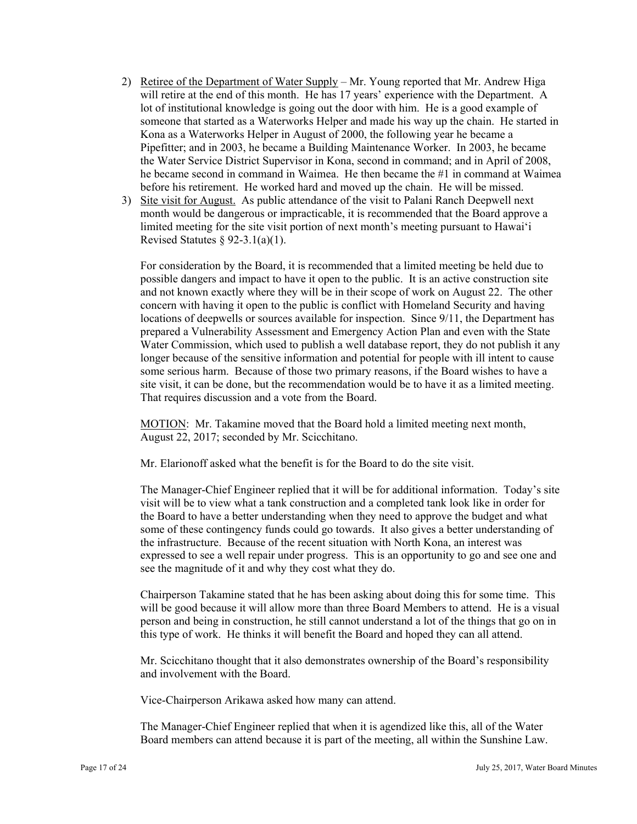- 2) Retiree of the Department of Water Supply Mr. Young reported that Mr. Andrew Higa will retire at the end of this month. He has 17 years' experience with the Department. A lot of institutional knowledge is going out the door with him. He is a good example of someone that started as a Waterworks Helper and made his way up the chain. He started in Kona as a Waterworks Helper in August of 2000, the following year he became a Pipefitter; and in 2003, he became a Building Maintenance Worker. In 2003, he became the Water Service District Supervisor in Kona, second in command; and in April of 2008, he became second in command in Waimea. He then became the #1 in command at Waimea before his retirement. He worked hard and moved up the chain. He will be missed.
- 3) Site visit for August. As public attendance of the visit to Palani Ranch Deepwell next month would be dangerous or impracticable, it is recommended that the Board approve a limited meeting for the site visit portion of next month's meeting pursuant to Hawai'i Revised Statutes § 92-3.1(a)(1).

For consideration by the Board, it is recommended that a limited meeting be held due to possible dangers and impact to have it open to the public. It is an active construction site and not known exactly where they will be in their scope of work on August 22. The other concern with having it open to the public is conflict with Homeland Security and having locations of deepwells or sources available for inspection. Since 9/11, the Department has prepared a Vulnerability Assessment and Emergency Action Plan and even with the State Water Commission, which used to publish a well database report, they do not publish it any longer because of the sensitive information and potential for people with ill intent to cause some serious harm. Because of those two primary reasons, if the Board wishes to have a site visit, it can be done, but the recommendation would be to have it as a limited meeting. That requires discussion and a vote from the Board.

MOTION: Mr. Takamine moved that the Board hold a limited meeting next month, August 22, 2017; seconded by Mr. Scicchitano.

Mr. Elarionoff asked what the benefit is for the Board to do the site visit.

The Manager-Chief Engineer replied that it will be for additional information. Today's site visit will be to view what a tank construction and a completed tank look like in order for the Board to have a better understanding when they need to approve the budget and what some of these contingency funds could go towards. It also gives a better understanding of the infrastructure. Because of the recent situation with North Kona, an interest was expressed to see a well repair under progress. This is an opportunity to go and see one and see the magnitude of it and why they cost what they do.

Chairperson Takamine stated that he has been asking about doing this for some time. This will be good because it will allow more than three Board Members to attend. He is a visual person and being in construction, he still cannot understand a lot of the things that go on in this type of work. He thinks it will benefit the Board and hoped they can all attend.

Mr. Scicchitano thought that it also demonstrates ownership of the Board's responsibility and involvement with the Board.

Vice-Chairperson Arikawa asked how many can attend.

The Manager-Chief Engineer replied that when it is agendized like this, all of the Water Board members can attend because it is part of the meeting, all within the Sunshine Law.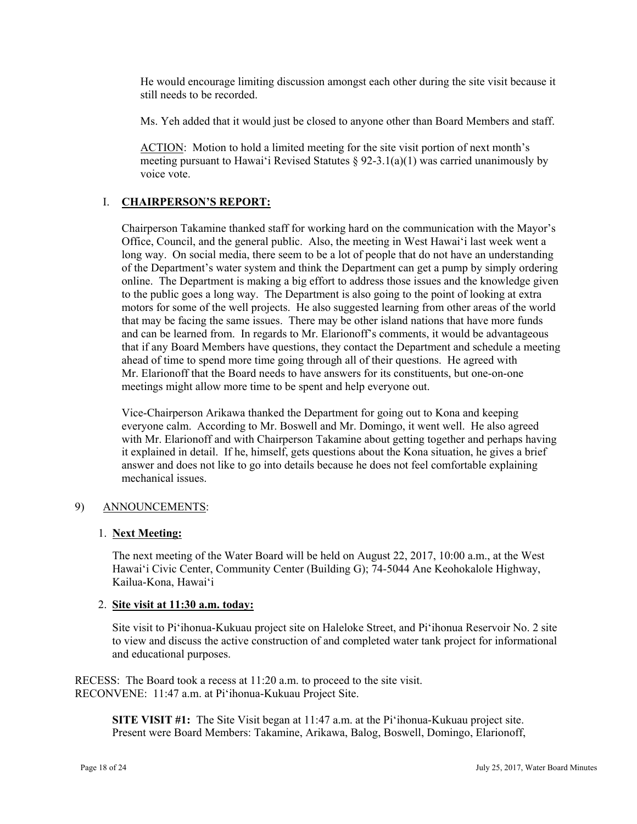He would encourage limiting discussion amongst each other during the site visit because it still needs to be recorded.

Ms. Yeh added that it would just be closed to anyone other than Board Members and staff.

ACTION: Motion to hold a limited meeting for the site visit portion of next month's meeting pursuant to Hawai'i Revised Statutes  $\S$  92-3.1(a)(1) was carried unanimously by voice vote.

# I. **CHAIRPERSON'S REPORT:**

Chairperson Takamine thanked staff for working hard on the communication with the Mayor's Office, Council, and the general public. Also, the meeting in West Hawai'i last week went a long way. On social media, there seem to be a lot of people that do not have an understanding of the Department's water system and think the Department can get a pump by simply ordering online. The Department is making a big effort to address those issues and the knowledge given to the public goes a long way. The Department is also going to the point of looking at extra motors for some of the well projects. He also suggested learning from other areas of the world that may be facing the same issues. There may be other island nations that have more funds and can be learned from. In regards to Mr. Elarionoff's comments, it would be advantageous that if any Board Members have questions, they contact the Department and schedule a meeting ahead of time to spend more time going through all of their questions. He agreed with Mr. Elarionoff that the Board needs to have answers for its constituents, but one-on-one meetings might allow more time to be spent and help everyone out.

Vice-Chairperson Arikawa thanked the Department for going out to Kona and keeping everyone calm. According to Mr. Boswell and Mr. Domingo, it went well. He also agreed with Mr. Elarionoff and with Chairperson Takamine about getting together and perhaps having it explained in detail. If he, himself, gets questions about the Kona situation, he gives a brief answer and does not like to go into details because he does not feel comfortable explaining mechanical issues.

### 9) ANNOUNCEMENTS:

### 1. **Next Meeting:**

The next meeting of the Water Board will be held on August 22, 2017, 10:00 a.m., at the West Hawai'i Civic Center, Community Center (Building G); 74-5044 Ane Keohokalole Highway, Kailua-Kona, Hawai'i

### 2. **Site visit at 11:30 a.m. today:**

Site visit to Pi'ihonua-Kukuau project site on Haleloke Street, and Pi'ihonua Reservoir No. 2 site to view and discuss the active construction of and completed water tank project for informational and educational purposes.

RECESS: The Board took a recess at 11:20 a.m. to proceed to the site visit. RECONVENE: 11:47 a.m. at Pi'ihonua-Kukuau Project Site.

> **SITE VISIT #1:** The Site Visit began at 11:47 a.m. at the Pi'ihonua-Kukuau project site. Present were Board Members: Takamine, Arikawa, Balog, Boswell, Domingo, Elarionoff,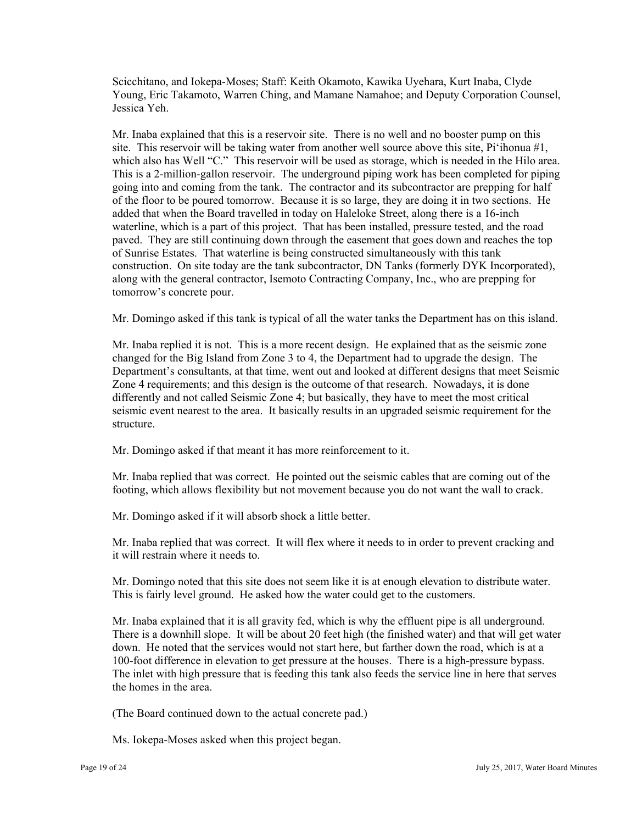Scicchitano, and Iokepa-Moses; Staff: Keith Okamoto, Kawika Uyehara, Kurt Inaba, Clyde Young, Eric Takamoto, Warren Ching, and Mamane Namahoe; and Deputy Corporation Counsel, Jessica Yeh.

Mr. Inaba explained that this is a reservoir site. There is no well and no booster pump on this site. This reservoir will be taking water from another well source above this site, Pi'ihonua #1, which also has Well "C." This reservoir will be used as storage, which is needed in the Hilo area. This is a 2-million-gallon reservoir. The underground piping work has been completed for piping going into and coming from the tank. The contractor and its subcontractor are prepping for half of the floor to be poured tomorrow. Because it is so large, they are doing it in two sections. He added that when the Board travelled in today on Haleloke Street, along there is a 16-inch waterline, which is a part of this project. That has been installed, pressure tested, and the road paved. They are still continuing down through the easement that goes down and reaches the top of Sunrise Estates. That waterline is being constructed simultaneously with this tank construction. On site today are the tank subcontractor, DN Tanks (formerly DYK Incorporated), along with the general contractor, Isemoto Contracting Company, Inc., who are prepping for tomorrow's concrete pour.

Mr. Domingo asked if this tank is typical of all the water tanks the Department has on this island.

Mr. Inaba replied it is not. This is a more recent design. He explained that as the seismic zone changed for the Big Island from Zone 3 to 4, the Department had to upgrade the design. The Department's consultants, at that time, went out and looked at different designs that meet Seismic Zone 4 requirements; and this design is the outcome of that research. Nowadays, it is done differently and not called Seismic Zone 4; but basically, they have to meet the most critical seismic event nearest to the area. It basically results in an upgraded seismic requirement for the structure.

Mr. Domingo asked if that meant it has more reinforcement to it.

Mr. Inaba replied that was correct. He pointed out the seismic cables that are coming out of the footing, which allows flexibility but not movement because you do not want the wall to crack.

Mr. Domingo asked if it will absorb shock a little better.

Mr. Inaba replied that was correct. It will flex where it needs to in order to prevent cracking and it will restrain where it needs to.

Mr. Domingo noted that this site does not seem like it is at enough elevation to distribute water. This is fairly level ground. He asked how the water could get to the customers.

Mr. Inaba explained that it is all gravity fed, which is why the effluent pipe is all underground. There is a downhill slope. It will be about 20 feet high (the finished water) and that will get water down. He noted that the services would not start here, but farther down the road, which is at a 100-foot difference in elevation to get pressure at the houses. There is a high-pressure bypass. The inlet with high pressure that is feeding this tank also feeds the service line in here that serves the homes in the area.

(The Board continued down to the actual concrete pad.)

Ms. Iokepa-Moses asked when this project began.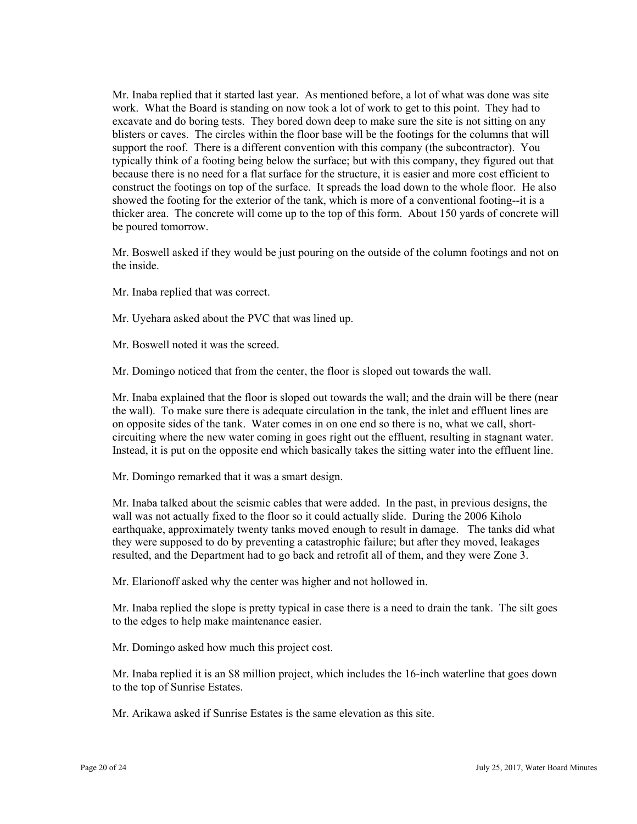work. What the Board is standing on now took a lot of work to get to this point. They had to Mr. Inaba replied that it started last year. As mentioned before, a lot of what was done was site excavate and do boring tests. They bored down deep to make sure the site is not sitting on any blisters or caves. The circles within the floor base will be the footings for the columns that will support the roof. There is a different convention with this company (the subcontractor). You typically think of a footing being below the surface; but with this company, they figured out that because there is no need for a flat surface for the structure, it is easier and more cost efficient to construct the footings on top of the surface. It spreads the load down to the whole floor. He also showed the footing for the exterior of the tank, which is more of a conventional footing--it is a thicker area. The concrete will come up to the top of this form. About 150 yards of concrete will be poured tomorrow.

Mr. Boswell asked if they would be just pouring on the outside of the column footings and not on the inside.

Mr. Inaba replied that was correct.

Mr. Uyehara asked about the PVC that was lined up.

Mr. Boswell noted it was the screed.

Mr. Domingo noticed that from the center, the floor is sloped out towards the wall.

Mr. Inaba explained that the floor is sloped out towards the wall; and the drain will be there (near the wall). To make sure there is adequate circulation in the tank, the inlet and effluent lines are on opposite sides of the tank. Water comes in on one end so there is no, what we call, shortcircuiting where the new water coming in goes right out the effluent, resulting in stagnant water. Instead, it is put on the opposite end which basically takes the sitting water into the effluent line.

Mr. Domingo remarked that it was a smart design.

 earthquake, approximately twenty tanks moved enough to result in damage. The tanks did what Mr. Inaba talked about the seismic cables that were added. In the past, in previous designs, the wall was not actually fixed to the floor so it could actually slide. During the 2006 Kiholo they were supposed to do by preventing a catastrophic failure; but after they moved, leakages resulted, and the Department had to go back and retrofit all of them, and they were Zone 3.

Mr. Elarionoff asked why the center was higher and not hollowed in.

Mr. Inaba replied the slope is pretty typical in case there is a need to drain the tank. The silt goes to the edges to help make maintenance easier.

Mr. Domingo asked how much this project cost.

Mr. Inaba replied it is an \$8 million project, which includes the 16-inch waterline that goes down to the top of Sunrise Estates.

Mr. Arikawa asked if Sunrise Estates is the same elevation as this site.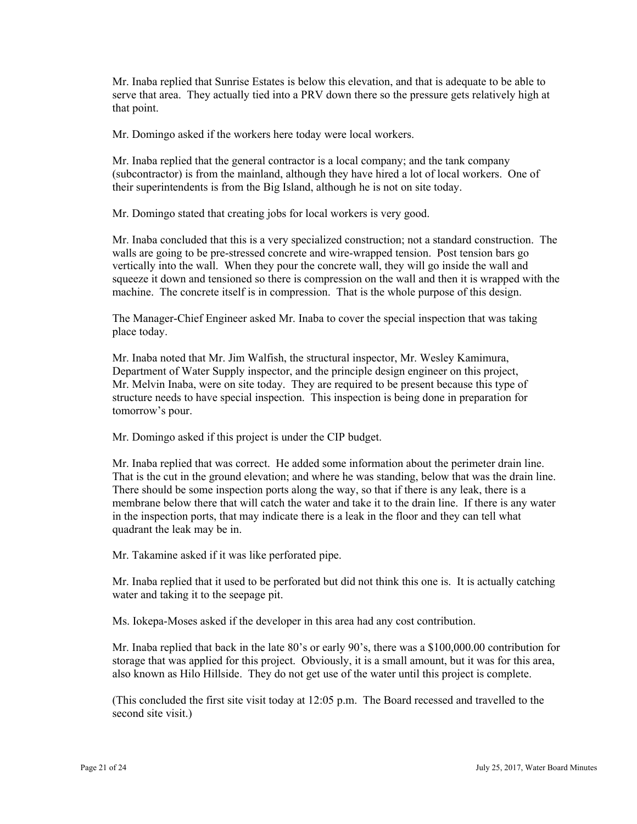Mr. Inaba replied that Sunrise Estates is below this elevation, and that is adequate to be able to serve that area. They actually tied into a PRV down there so the pressure gets relatively high at that point.

Mr. Domingo asked if the workers here today were local workers.

 their superintendents is from the Big Island, although he is not on site today. Mr. Domingo stated that creating jobs for local workers is very good. Mr. Inaba replied that the general contractor is a local company; and the tank company (subcontractor) is from the mainland, although they have hired a lot of local workers. One of

Mr. Inaba concluded that this is a very specialized construction; not a standard construction. The walls are going to be pre-stressed concrete and wire-wrapped tension. Post tension bars go vertically into the wall. When they pour the concrete wall, they will go inside the wall and squeeze it down and tensioned so there is compression on the wall and then it is wrapped with the machine. The concrete itself is in compression. That is the whole purpose of this design.

The Manager-Chief Engineer asked Mr. Inaba to cover the special inspection that was taking place today.

Mr. Inaba noted that Mr. Jim Walfish, the structural inspector, Mr. Wesley Kamimura, Department of Water Supply inspector, and the principle design engineer on this project, Mr. Melvin Inaba, were on site today. They are required to be present because this type of structure needs to have special inspection. This inspection is being done in preparation for tomorrow's pour.

Mr. Domingo asked if this project is under the CIP budget.

Mr. Inaba replied that was correct. He added some information about the perimeter drain line. That is the cut in the ground elevation; and where he was standing, below that was the drain line. There should be some inspection ports along the way, so that if there is any leak, there is a membrane below there that will catch the water and take it to the drain line. If there is any water in the inspection ports, that may indicate there is a leak in the floor and they can tell what quadrant the leak may be in.

Mr. Takamine asked if it was like perforated pipe.

Mr. Inaba replied that it used to be perforated but did not think this one is. It is actually catching water and taking it to the seepage pit.

Ms. Iokepa-Moses asked if the developer in this area had any cost contribution.

Mr. Inaba replied that back in the late 80's or early 90's, there was a \$100,000.00 contribution for storage that was applied for this project. Obviously, it is a small amount, but it was for this area, also known as Hilo Hillside. They do not get use of the water until this project is complete.

(This concluded the first site visit today at 12:05 p.m. The Board recessed and travelled to the second site visit.)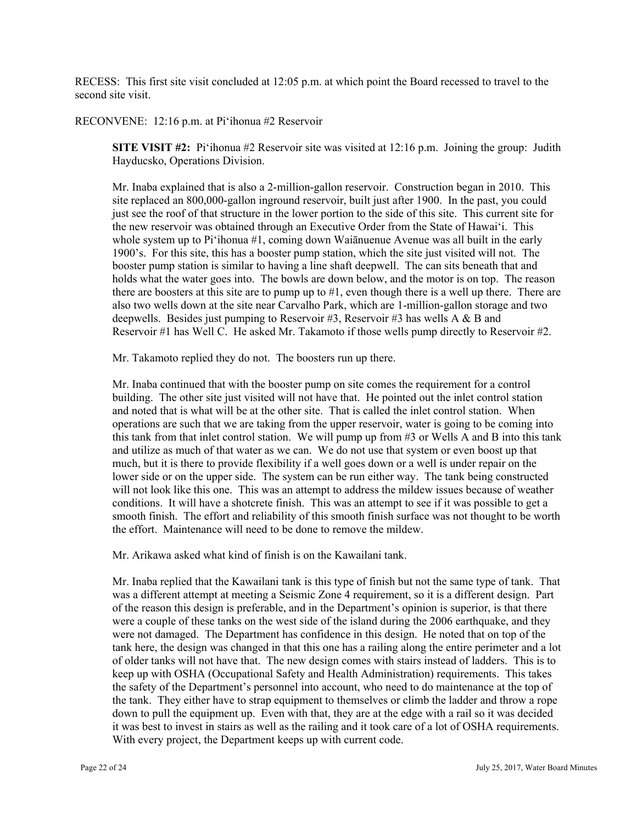RECESS: This first site visit concluded at 12:05 p.m. at which point the Board recessed to travel to the second site visit.

RECONVENE: 12:16 p.m. at Pi'ihonua #2 Reservoir

**SITE VISIT #2:** Pi'ihonua #2 Reservoir site was visited at 12:16 p.m. Joining the group: Judith Hayducsko, Operations Division.

Mr. Inaba explained that is also a 2-million-gallon reservoir. Construction began in 2010. This site replaced an 800,000-gallon inground reservoir, built just after 1900. In the past, you could just see the roof of that structure in the lower portion to the side of this site. This current site for the new reservoir was obtained through an Executive Order from the State of Hawai'i. This whole system up to Pi'ihonua #1, coming down Waiānuenue Avenue was all built in the early 1900's. For this site, this has a booster pump station, which the site just visited will not. The booster pump station is similar to having a line shaft deepwell. The can sits beneath that and holds what the water goes into. The bowls are down below, and the motor is on top. The reason there are boosters at this site are to pump up to #1, even though there is a well up there. There are also two wells down at the site near Carvalho Park, which are 1-million-gallon storage and two deepwells. Besides just pumping to Reservoir #3, Reservoir #3 has wells A & B and Reservoir #1 has Well C. He asked Mr. Takamoto if those wells pump directly to Reservoir #2.

Mr. Takamoto replied they do not. The boosters run up there.

Mr. Inaba continued that with the booster pump on site comes the requirement for a control building. The other site just visited will not have that. He pointed out the inlet control station and noted that is what will be at the other site. That is called the inlet control station. When operations are such that we are taking from the upper reservoir, water is going to be coming into this tank from that inlet control station. We will pump up from #3 or Wells A and B into this tank and utilize as much of that water as we can. We do not use that system or even boost up that much, but it is there to provide flexibility if a well goes down or a well is under repair on the lower side or on the upper side. The system can be run either way. The tank being constructed will not look like this one. This was an attempt to address the mildew issues because of weather conditions. It will have a shotcrete finish. This was an attempt to see if it was possible to get a smooth finish. The effort and reliability of this smooth finish surface was not thought to be worth the effort. Maintenance will need to be done to remove the mildew.

Mr. Arikawa asked what kind of finish is on the Kawailani tank.

 Mr. Inaba replied that the Kawailani tank is this type of finish but not the same type of tank. That was a different attempt at meeting a Seismic Zone 4 requirement, so it is a different design. Part of the reason this design is preferable, and in the Department's opinion is superior, is that there were a couple of these tanks on the west side of the island during the 2006 earthquake, and they were not damaged. The Department has confidence in this design. He noted that on top of the tank here, the design was changed in that this one has a railing along the entire perimeter and a lot of older tanks will not have that. The new design comes with stairs instead of ladders. This is to keep up with OSHA (Occupational Safety and Health Administration) requirements. This takes the safety of the Department's personnel into account, who need to do maintenance at the top of the tank. They either have to strap equipment to themselves or climb the ladder and throw a rope down to pull the equipment up. Even with that, they are at the edge with a rail so it was decided it was best to invest in stairs as well as the railing and it took care of a lot of OSHA requirements. With every project, the Department keeps up with current code.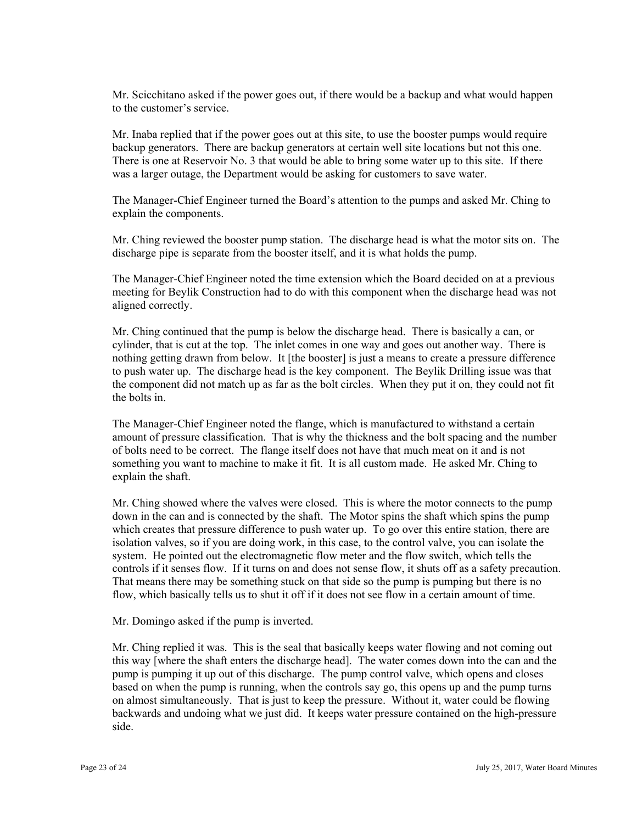Mr. Scicchitano asked if the power goes out, if there would be a backup and what would happen to the customer's service.

Mr. Inaba replied that if the power goes out at this site, to use the booster pumps would require backup generators. There are backup generators at certain well site locations but not this one. There is one at Reservoir No. 3 that would be able to bring some water up to this site. If there was a larger outage, the Department would be asking for customers to save water.

The Manager-Chief Engineer turned the Board's attention to the pumps and asked Mr. Ching to explain the components.

Mr. Ching reviewed the booster pump station. The discharge head is what the motor sits on. The discharge pipe is separate from the booster itself, and it is what holds the pump.

The Manager-Chief Engineer noted the time extension which the Board decided on at a previous meeting for Beylik Construction had to do with this component when the discharge head was not aligned correctly.

Mr. Ching continued that the pump is below the discharge head. There is basically a can, or cylinder, that is cut at the top. The inlet comes in one way and goes out another way. There is nothing getting drawn from below. It [the booster] is just a means to create a pressure difference to push water up. The discharge head is the key component. The Beylik Drilling issue was that the component did not match up as far as the bolt circles. When they put it on, they could not fit the bolts in.

The Manager-Chief Engineer noted the flange, which is manufactured to withstand a certain amount of pressure classification. That is why the thickness and the bolt spacing and the number of bolts need to be correct. The flange itself does not have that much meat on it and is not something you want to machine to make it fit. It is all custom made. He asked Mr. Ching to explain the shaft.

Mr. Ching showed where the valves were closed. This is where the motor connects to the pump down in the can and is connected by the shaft. The Motor spins the shaft which spins the pump which creates that pressure difference to push water up. To go over this entire station, there are isolation valves, so if you are doing work, in this case, to the control valve, you can isolate the system. He pointed out the electromagnetic flow meter and the flow switch, which tells the controls if it senses flow. If it turns on and does not sense flow, it shuts off as a safety precaution. That means there may be something stuck on that side so the pump is pumping but there is no flow, which basically tells us to shut it off if it does not see flow in a certain amount of time.

Mr. Domingo asked if the pump is inverted.

 this way [where the shaft enters the discharge head]. The water comes down into the can and the Mr. Ching replied it was. This is the seal that basically keeps water flowing and not coming out pump is pumping it up out of this discharge. The pump control valve, which opens and closes based on when the pump is running, when the controls say go, this opens up and the pump turns on almost simultaneously. That is just to keep the pressure. Without it, water could be flowing backwards and undoing what we just did. It keeps water pressure contained on the high-pressure side.